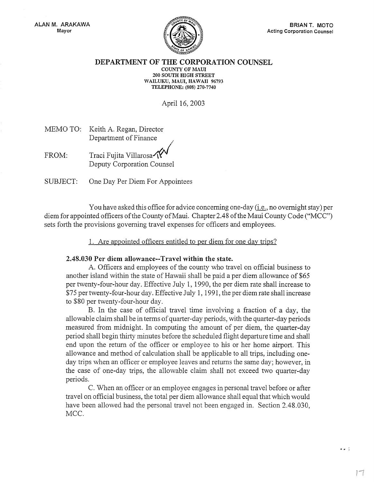

 $\bullet$   $\bullet$   $\stackrel{?}{\sim}$ 

DEPARTMENT OF THE CORPORATION COUNSEL

COUNTY OF MAUI 200 SOUTH HIGH STREET WAILUKU, MAUI, HAWAII 96793 TELEPHONE: (808) 270-7740

April 16, 2003

|  | MEMO TO: Keith A. Regan, Director |  |
|--|-----------------------------------|--|
|  | Department of Finance             |  |

- FROM: Traci Fujita Villarosa Deputy Corporation Counsel
- SUBJECT: One Day Per Diem For Appointees

You have asked this office for advice concerning one-day (i.e., no overnight stay) per diem for appointed officers of the County of Maui. Chapter 2.48 of the Maui County Code ("MCC") sets forth the provisions governing travel expenses for officers and employees.

1. Are appointed officers entitled to per diem for one dav trips?

## 2.48.030 Per diem allowance--Travel within the state.

A. Officers and employees of the county who travel on official business to another island within the state of Hawaii shall be paid a per diem allowance of \$65 per twenty-four-hour day. Effective July 1, 1990, the per diem rate shall increase to \$75 pertwenty-four-hour day. Effective July 1, 1991, the per diem rate shall increase to \$80 per twenty-four-hour day.

B. In the case of official travel time involving a fraction of a day, the allowable claim shall be in terms of quarter-day periods, with the quarter-day periods measured from midnight. In computing the amount of per diem, the quarter-day period shall begin thirty minutes before the scheduled flight departure time and shall end upon the return of the officer or employee to his or her home airport. This allowance and method of calculation shall be applicable to all trips, including oneday trips when an officer or employee leaves and returns the same day; however, in the case of one-day trips, the allowable claim shall not exceed two quarter-day periods.

C. When an officer or an employee engages in personal travel before or after travel on official business, the total per diem allowance shall equal that which would have been allowed had the personal travel not been engaged in. Section 2.48.030, MCC.